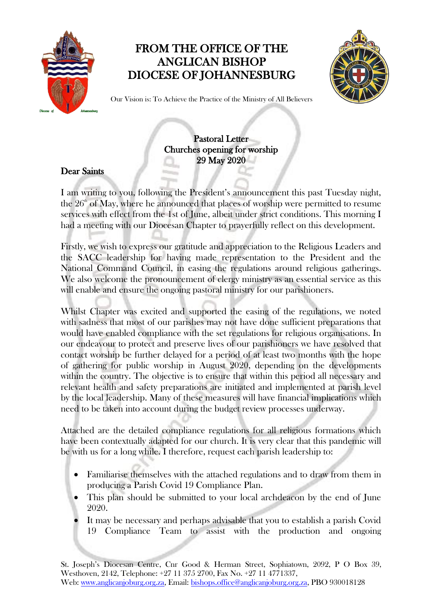

## FROM THE OFFICE OF THE ANGLICAN BISHOP DIOCESE OF JOHANNESBURG



Our Vision is: To Achieve the Practice of the Ministry of All Believers

Pastoral Letter Churches opening for worship 29 May 2020

## Dear Saints

I am writing to you, following the President's announcement this past Tuesday night, the  $26<sup>th</sup>$  of May, where he announced that places of worship were permitted to resume services with effect from the 1st of June, albeit under strict conditions. This morning I had a meeting with our Diocesan Chapter to prayerfully reflect on this development.

Firstly, we wish to express our gratitude and appreciation to the Religious Leaders and the SACC leadership for having made representation to the President and the National Command Council, in easing the regulations around religious gatherings. We also welcome the pronouncement of clergy ministry as an essential service as this will enable and ensure the ongoing pastoral ministry for our parishioners.

Whilst Chapter was excited and supported the easing of the regulations, we noted with sadness that most of our parishes may not have done sufficient preparations that would have enabled compliance with the set regulations for religious organisations. In our endeavour to protect and preserve lives of our parishioners we have resolved that contact worship be further delayed for a period of at least two months with the hope of gathering for public worship in August 2020, depending on the developments within the country. The objective is to ensure that within this period all necessary and relevant health and safety preparations are initiated and implemented at parish level by the local leadership. Many of these measures will have financial implications which need to be taken into account during the budget review processes underway.

Attached are the detailed compliance regulations for all religious formations which have been contextually adapted for our church. It is very clear that this pandemic will be with us for a long while. I therefore, request each parish leadership to:

- Familiarise themselves with the attached regulations and to draw from them in producing a Parish Covid 19 Compliance Plan.
- This plan should be submitted to your local archdeacon by the end of June 2020.
- It may be necessary and perhaps advisable that you to establish a parish Covid 19 Compliance Team to assist with the production and ongoing

St. Joseph's Diocesan Centre, Cnr Good & Herman Street, Sophiatown, 2092, P O Box 39, Westhoven, 2142, Telephone: +27 11 375 2700, Fax No. +27 11 4771337, Web: [www.anglicanjoburg.org.za,](http://www.anglicanjoburg.org.za/) Email: [bishops.office@anglicanjoburg.org.za,](mailto:bishops.office@anglicanjoburg.org.za) PBO 930018128